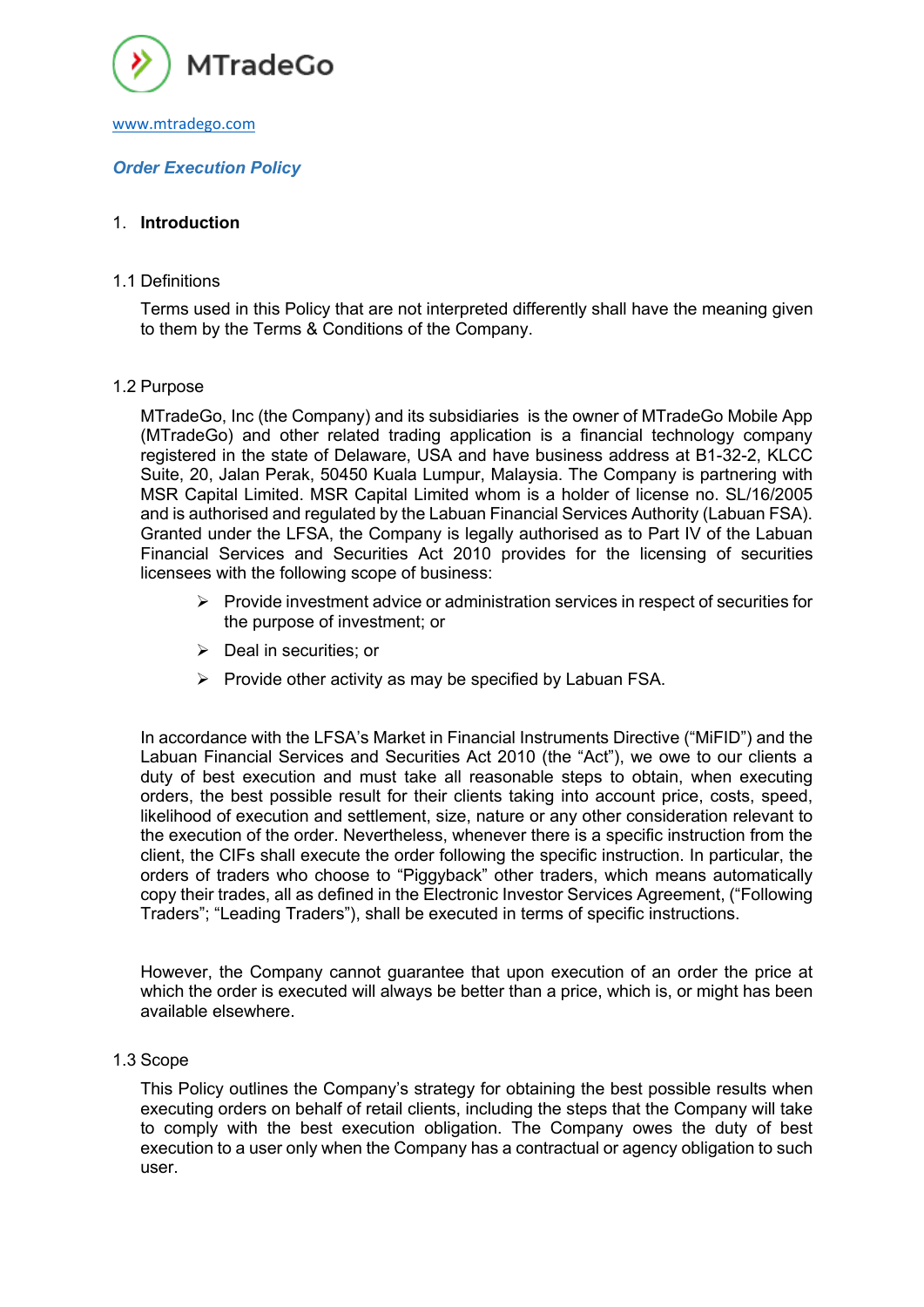

# *Order Execution Policy*

## 1. **Introduction**

### 1.1 Definitions

Terms used in this Policy that are not interpreted differently shall have the meaning given to them by the Terms & Conditions of the Company.

### 1.2 Purpose

MTradeGo, Inc (the Company) and its subsidiaries is the owner of MTradeGo Mobile App (MTradeGo) and other related trading application is a financial technology company registered in the state of Delaware, USA and have business address at B1-32-2, KLCC Suite, 20, Jalan Perak, 50450 Kuala Lumpur, Malaysia. The Company is partnering with MSR Capital Limited. MSR Capital Limited whom is a holder of license no. SL/16/2005 and is authorised and regulated by the Labuan Financial Services Authority (Labuan FSA). Granted under the LFSA, the Company is legally authorised as to Part IV of the Labuan Financial Services and Securities Act 2010 provides for the licensing of securities licensees with the following scope of business:

- $\triangleright$  Provide investment advice or administration services in respect of securities for the purpose of investment; or
- $\triangleright$  Deal in securities; or
- $\triangleright$  Provide other activity as may be specified by Labuan FSA.

In accordance with the LFSA's Market in Financial Instruments Directive ("MiFID") and the Labuan Financial Services and Securities Act 2010 (the "Act"), we owe to our clients a duty of best execution and must take all reasonable steps to obtain, when executing orders, the best possible result for their clients taking into account price, costs, speed, likelihood of execution and settlement, size, nature or any other consideration relevant to the execution of the order. Nevertheless, whenever there is a specific instruction from the client, the CIFs shall execute the order following the specific instruction. In particular, the orders of traders who choose to "Piggyback" other traders, which means automatically copy their trades, all as defined in the Electronic Investor Services Agreement, ("Following Traders"; "Leading Traders"), shall be executed in terms of specific instructions.

However, the Company cannot guarantee that upon execution of an order the price at which the order is executed will always be better than a price, which is, or might has been available elsewhere.

## 1.3 Scope

This Policy outlines the Company's strategy for obtaining the best possible results when executing orders on behalf of retail clients, including the steps that the Company will take to comply with the best execution obligation. The Company owes the duty of best execution to a user only when the Company has a contractual or agency obligation to such user.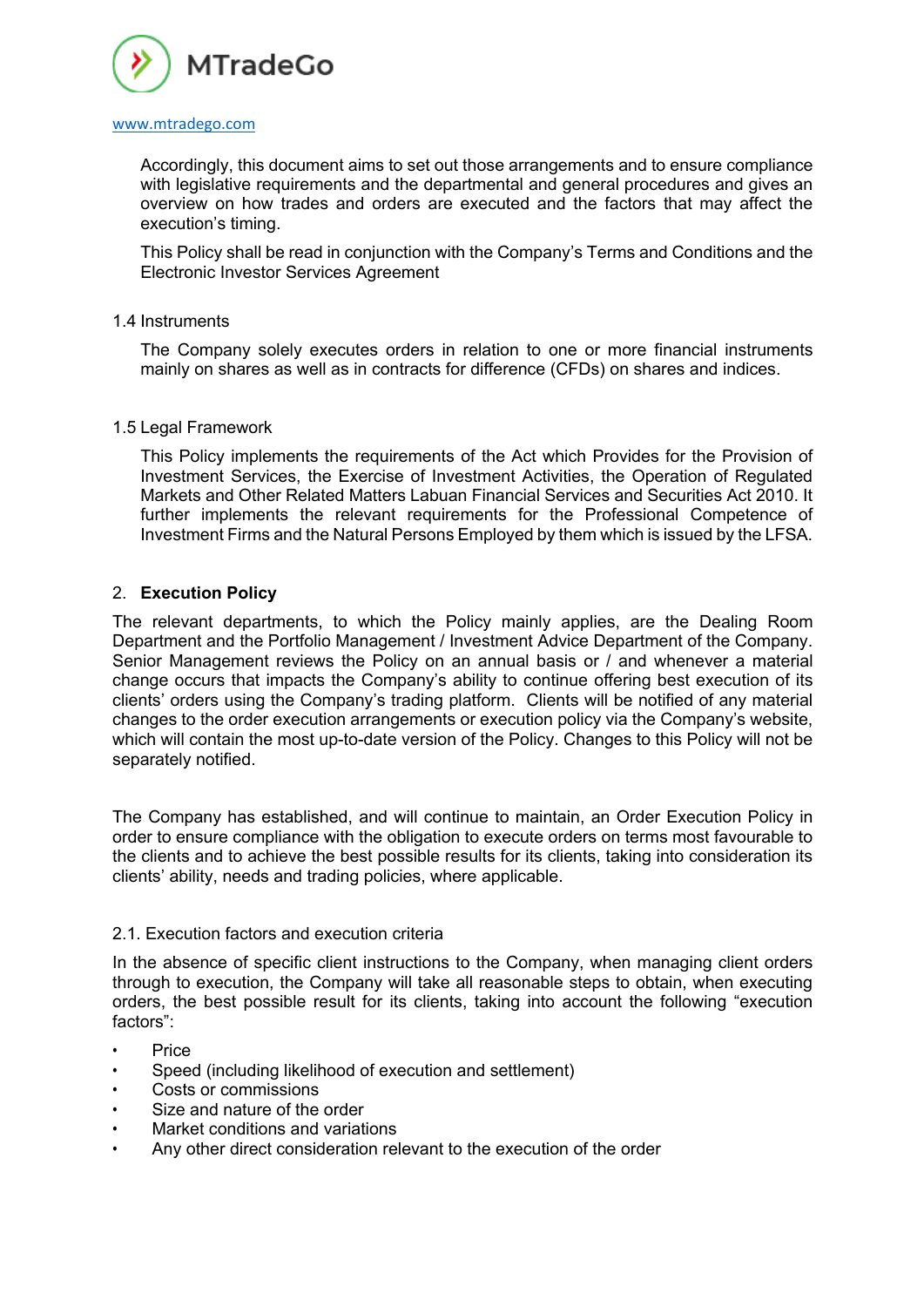

Accordingly, this document aims to set out those arrangements and to ensure compliance with legislative requirements and the departmental and general procedures and gives an overview on how trades and orders are executed and the factors that may affect the execution's timing.

This Policy shall be read in conjunction with the Company's Terms and Conditions and the Electronic Investor Services Agreement

### 1.4 Instruments

The Company solely executes orders in relation to one or more financial instruments mainly on shares as well as in contracts for difference (CFDs) on shares and indices.

## 1.5 Legal Framework

This Policy implements the requirements of the Act which Provides for the Provision of Investment Services, the Exercise of Investment Activities, the Operation of Regulated Markets and Other Related Matters Labuan Financial Services and Securities Act 2010. It further implements the relevant requirements for the Professional Competence of Investment Firms and the Natural Persons Employed by them which is issued by the LFSA.

## 2. **Execution Policy**

The relevant departments, to which the Policy mainly applies, are the Dealing Room Department and the Portfolio Management / Investment Advice Department of the Company. Senior Management reviews the Policy on an annual basis or / and whenever a material change occurs that impacts the Company's ability to continue offering best execution of its clients' orders using the Company's trading platform. Clients will be notified of any material changes to the order execution arrangements or execution policy via the Company's website, which will contain the most up-to-date version of the Policy. Changes to this Policy will not be separately notified.

The Company has established, and will continue to maintain, an Order Execution Policy in order to ensure compliance with the obligation to execute orders on terms most favourable to the clients and to achieve the best possible results for its clients, taking into consideration its clients' ability, needs and trading policies, where applicable.

## 2.1. Execution factors and execution criteria

In the absence of specific client instructions to the Company, when managing client orders through to execution, the Company will take all reasonable steps to obtain, when executing orders, the best possible result for its clients, taking into account the following "execution factors":

- Price
- Speed (including likelihood of execution and settlement)
- Costs or commissions
- Size and nature of the order
- Market conditions and variations
- Any other direct consideration relevant to the execution of the order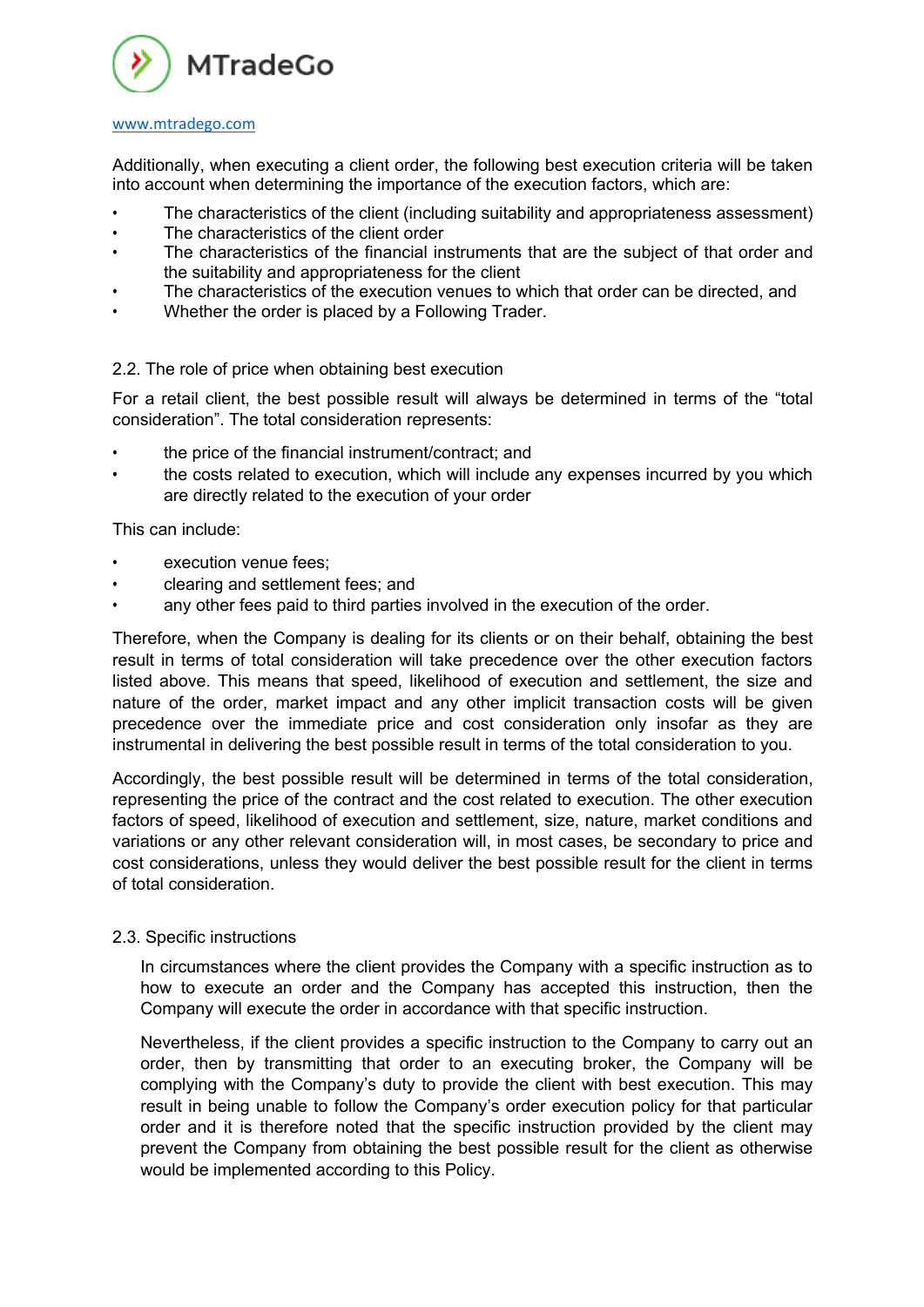**MTradeGo** 

### www.mtradego.com

Additionally, when executing a client order, the following best execution criteria will be taken into account when determining the importance of the execution factors, which are:

- The characteristics of the client (including suitability and appropriateness assessment)
- The characteristics of the client order
- The characteristics of the financial instruments that are the subject of that order and the suitability and appropriateness for the client
- The characteristics of the execution venues to which that order can be directed, and
- Whether the order is placed by a Following Trader.

## 2.2. The role of price when obtaining best execution

For a retail client, the best possible result will always be determined in terms of the "total consideration". The total consideration represents:

- the price of the financial instrument/contract; and
- the costs related to execution, which will include any expenses incurred by you which are directly related to the execution of your order

This can include:

- execution venue fees;
- clearing and settlement fees; and
- any other fees paid to third parties involved in the execution of the order.

Therefore, when the Company is dealing for its clients or on their behalf, obtaining the best result in terms of total consideration will take precedence over the other execution factors listed above. This means that speed, likelihood of execution and settlement, the size and nature of the order, market impact and any other implicit transaction costs will be given precedence over the immediate price and cost consideration only insofar as they are instrumental in delivering the best possible result in terms of the total consideration to you.

Accordingly, the best possible result will be determined in terms of the total consideration, representing the price of the contract and the cost related to execution. The other execution factors of speed, likelihood of execution and settlement, size, nature, market conditions and variations or any other relevant consideration will, in most cases, be secondary to price and cost considerations, unless they would deliver the best possible result for the client in terms of total consideration.

### 2.3. Specific instructions

In circumstances where the client provides the Company with a specific instruction as to how to execute an order and the Company has accepted this instruction, then the Company will execute the order in accordance with that specific instruction.

Nevertheless, if the client provides a specific instruction to the Company to carry out an order, then by transmitting that order to an executing broker, the Company will be complying with the Company's duty to provide the client with best execution. This may result in being unable to follow the Company's order execution policy for that particular order and it is therefore noted that the specific instruction provided by the client may prevent the Company from obtaining the best possible result for the client as otherwise would be implemented according to this Policy.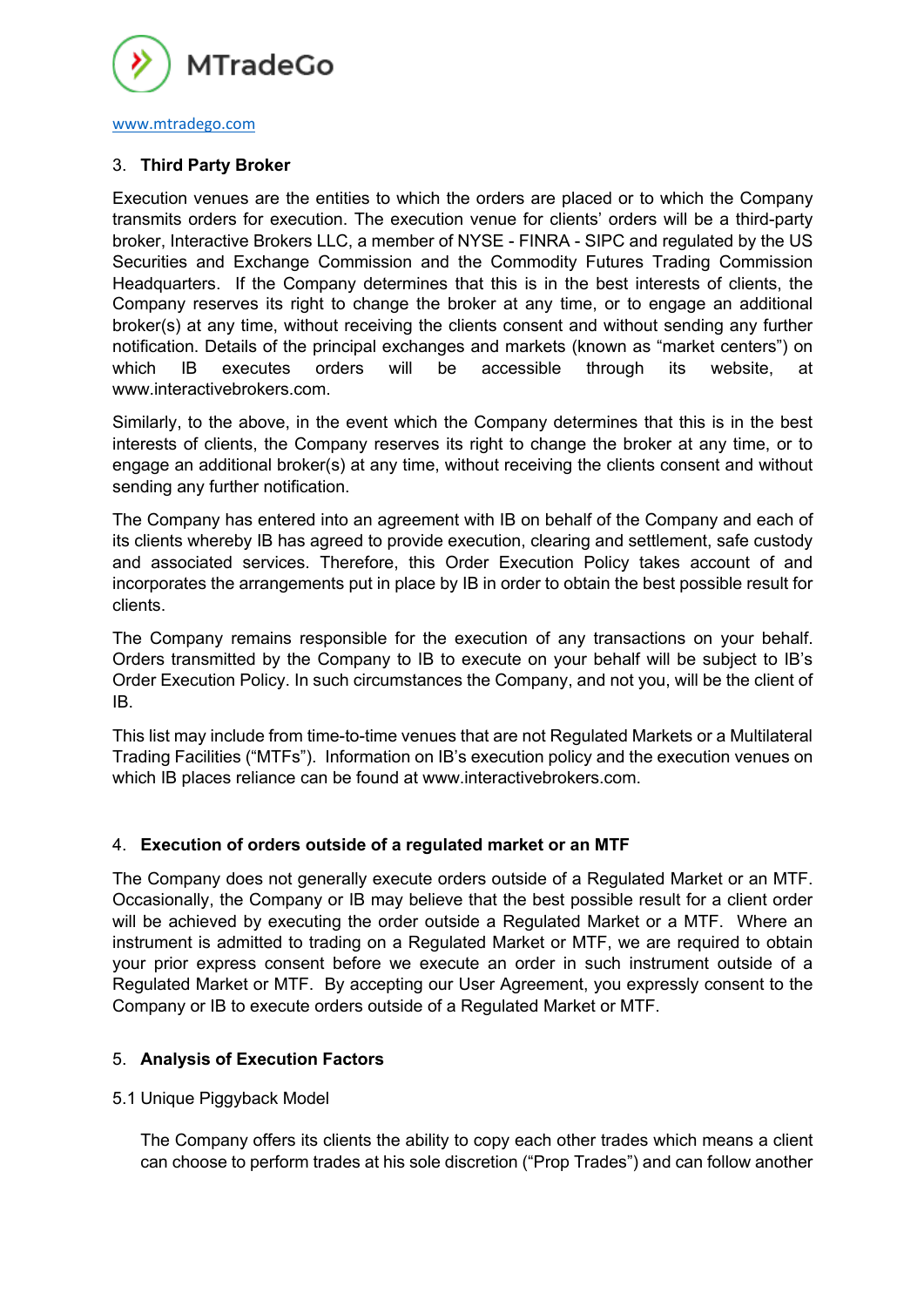**MTradeGo** 

www.mtradego.com

## 3. **Third Party Broker**

Execution venues are the entities to which the orders are placed or to which the Company transmits orders for execution. The execution venue for clients' orders will be a third-party broker, Interactive Brokers LLC, a member of NYSE - FINRA - SIPC and regulated by the US Securities and Exchange Commission and the Commodity Futures Trading Commission Headquarters. If the Company determines that this is in the best interests of clients, the Company reserves its right to change the broker at any time, or to engage an additional broker(s) at any time, without receiving the clients consent and without sending any further notification. Details of the principal exchanges and markets (known as "market centers") on which IB executes orders will be accessible through its website, at www.interactivebrokers.com

Similarly, to the above, in the event which the Company determines that this is in the best interests of clients, the Company reserves its right to change the broker at any time, or to engage an additional broker(s) at any time, without receiving the clients consent and without sending any further notification.

The Company has entered into an agreement with IB on behalf of the Company and each of its clients whereby IB has agreed to provide execution, clearing and settlement, safe custody and associated services. Therefore, this Order Execution Policy takes account of and incorporates the arrangements put in place by IB in order to obtain the best possible result for clients.

The Company remains responsible for the execution of any transactions on your behalf. Orders transmitted by the Company to IB to execute on your behalf will be subject to IB's Order Execution Policy. In such circumstances the Company, and not you, will be the client of IB.

This list may include from time-to-time venues that are not Regulated Markets or a Multilateral Trading Facilities ("MTFs"). Information on IB's execution policy and the execution venues on which IB places reliance can be found at www.interactivebrokers.com.

## 4. **Execution of orders outside of a regulated market or an MTF**

The Company does not generally execute orders outside of a Regulated Market or an MTF. Occasionally, the Company or IB may believe that the best possible result for a client order will be achieved by executing the order outside a Regulated Market or a MTF. Where an instrument is admitted to trading on a Regulated Market or MTF, we are required to obtain your prior express consent before we execute an order in such instrument outside of a Regulated Market or MTF. By accepting our User Agreement, you expressly consent to the Company or IB to execute orders outside of a Regulated Market or MTF.

## 5. **Analysis of Execution Factors**

## 5.1 Unique Piggyback Model

The Company offers its clients the ability to copy each other trades which means a client can choose to perform trades at his sole discretion ("Prop Trades") and can follow another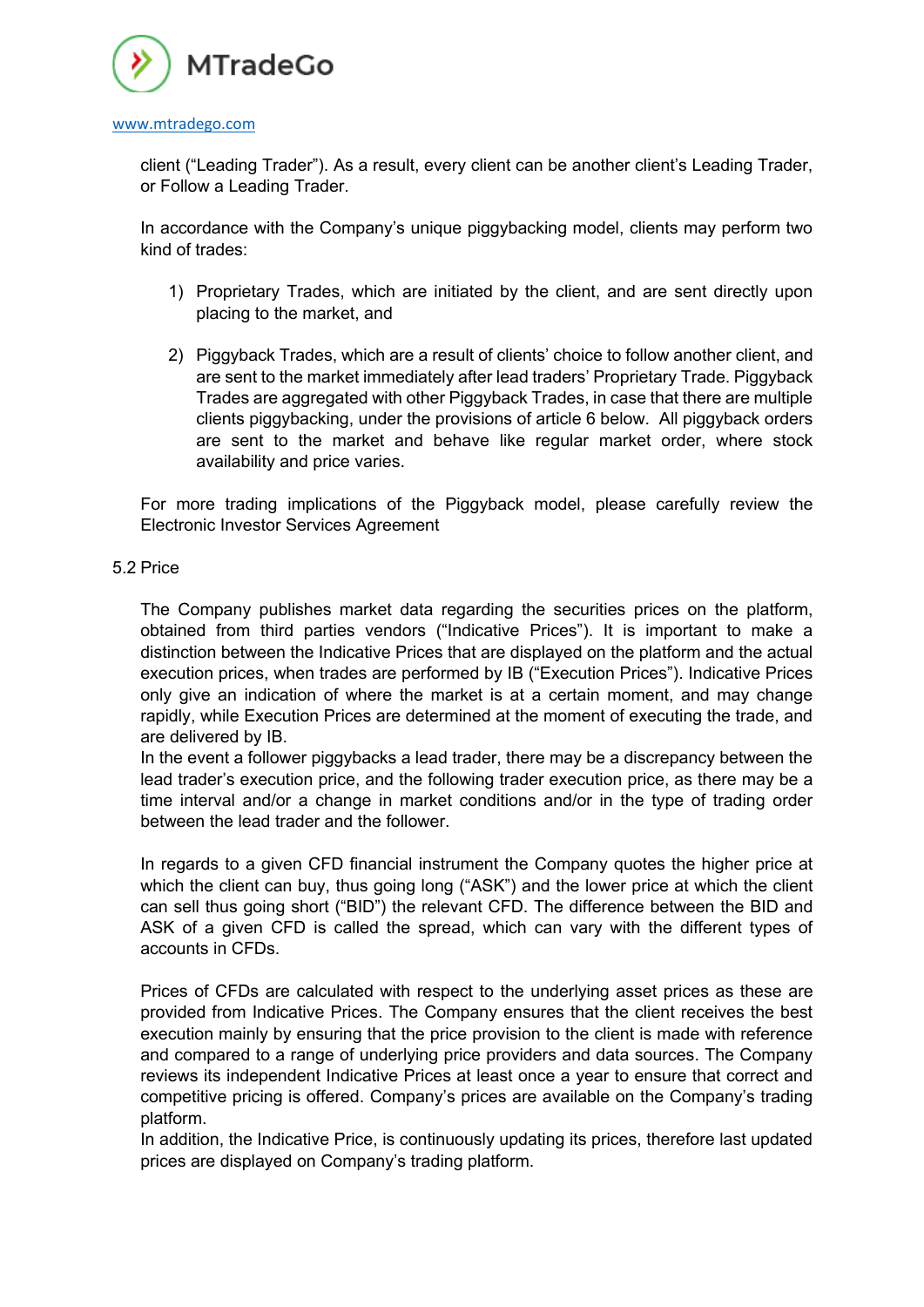

client ("Leading Trader"). As a result, every client can be another client's Leading Trader, or Follow a Leading Trader.

In accordance with the Company's unique piggybacking model, clients may perform two kind of trades:

- 1) Proprietary Trades, which are initiated by the client, and are sent directly upon placing to the market, and
- 2) Piggyback Trades, which are a result of clients' choice to follow another client, and are sent to the market immediately after lead traders' Proprietary Trade. Piggyback Trades are aggregated with other Piggyback Trades, in case that there are multiple clients piggybacking, under the provisions of article 6 below. All piggyback orders are sent to the market and behave like regular market order, where stock availability and price varies.

For more trading implications of the Piggyback model, please carefully review the Electronic Investor Services Agreement

### 5.2 Price

The Company publishes market data regarding the securities prices on the platform, obtained from third parties vendors ("Indicative Prices"). It is important to make a distinction between the Indicative Prices that are displayed on the platform and the actual execution prices, when trades are performed by IB ("Execution Prices"). Indicative Prices only give an indication of where the market is at a certain moment, and may change rapidly, while Execution Prices are determined at the moment of executing the trade, and are delivered by IB.

In the event a follower piggybacks a lead trader, there may be a discrepancy between the lead trader's execution price, and the following trader execution price, as there may be a time interval and/or a change in market conditions and/or in the type of trading order between the lead trader and the follower.

In regards to a given CFD financial instrument the Company quotes the higher price at which the client can buy, thus going long ("ASK") and the lower price at which the client can sell thus going short ("BID") the relevant CFD. The difference between the BID and ASK of a given CFD is called the spread, which can vary with the different types of accounts in CFDs.

Prices of CFDs are calculated with respect to the underlying asset prices as these are provided from Indicative Prices. The Company ensures that the client receives the best execution mainly by ensuring that the price provision to the client is made with reference and compared to a range of underlying price providers and data sources. The Company reviews its independent Indicative Prices at least once a year to ensure that correct and competitive pricing is offered. Company's prices are available on the Company's trading platform.

In addition, the Indicative Price, is continuously updating its prices, therefore last updated prices are displayed on Company's trading platform.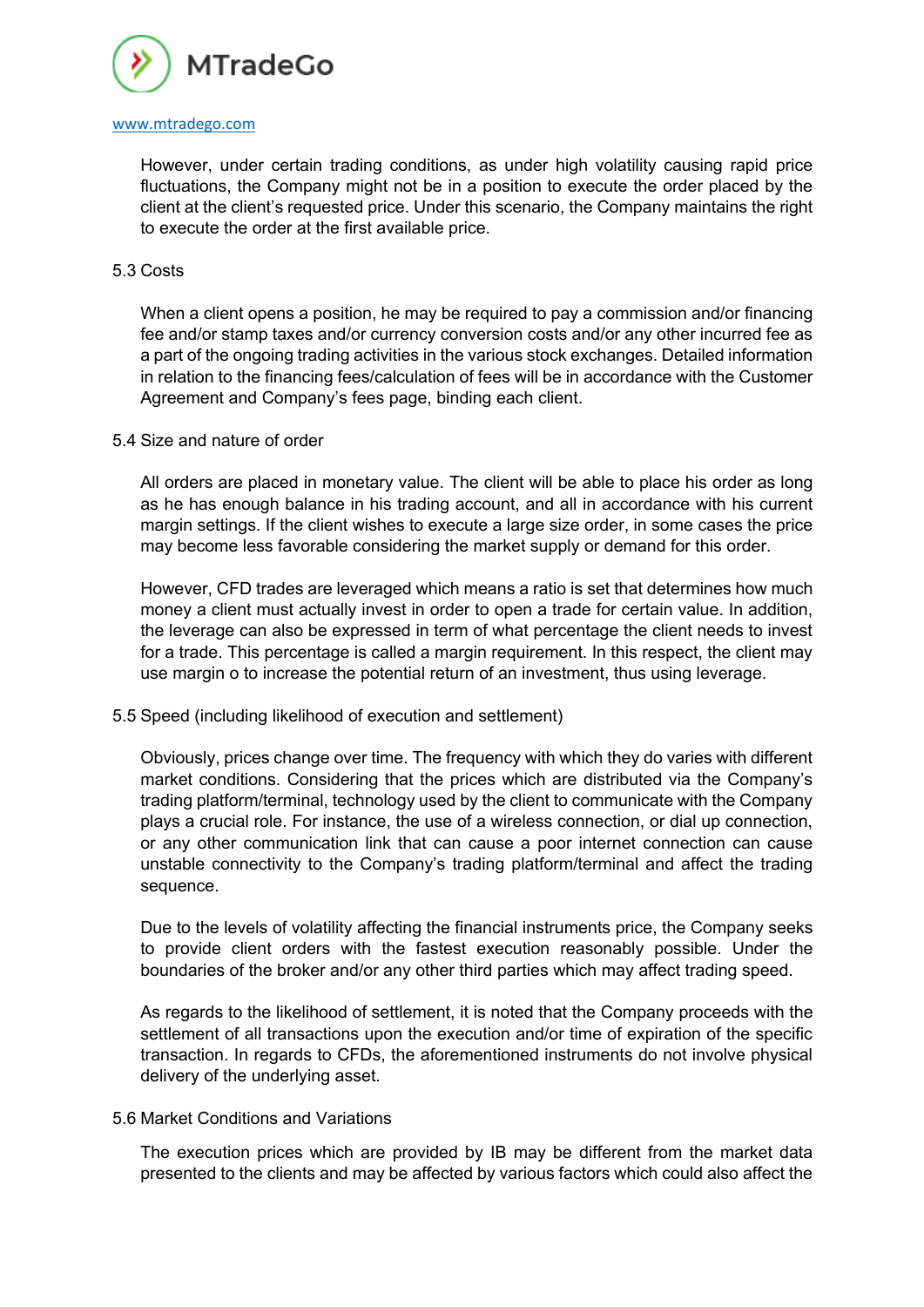

However, under certain trading conditions, as under high volatility causing rapid price fluctuations, the Company might not be in a position to execute the order placed by the client at the client's requested price. Under this scenario, the Company maintains the right to execute the order at the first available price.

### 5.3 Costs

When a client opens a position, he may be required to pay a commission and/or financing fee and/or stamp taxes and/or currency conversion costs and/or any other incurred fee as a part of the ongoing trading activities in the various stock exchanges. Detailed information in relation to the financing fees/calculation of fees will be in accordance with the Customer Agreement and Company's fees page, binding each client.

### 5.4 Size and nature of order

All orders are placed in monetary value. The client will be able to place his order as long as he has enough balance in his trading account, and all in accordance with his current margin settings. If the client wishes to execute a large size order, in some cases the price may become less favorable considering the market supply or demand for this order.

However, CFD trades are leveraged which means a ratio is set that determines how much money a client must actually invest in order to open a trade for certain value. In addition, the leverage can also be expressed in term of what percentage the client needs to invest for a trade. This percentage is called a margin requirement. In this respect, the client may use margin o to increase the potential return of an investment, thus using leverage.

### 5.5 Speed (including likelihood of execution and settlement)

Obviously, prices change over time. The frequency with which they do varies with different market conditions. Considering that the prices which are distributed via the Company's trading platform/terminal, technology used by the client to communicate with the Company plays a crucial role. For instance, the use of a wireless connection, or dial up connection, or any other communication link that can cause a poor internet connection can cause unstable connectivity to the Company's trading platform/terminal and affect the trading sequence.

Due to the levels of volatility affecting the financial instruments price, the Company seeks to provide client orders with the fastest execution reasonably possible. Under the boundaries of the broker and/or any other third parties which may affect trading speed.

As regards to the likelihood of settlement, it is noted that the Company proceeds with the settlement of all transactions upon the execution and/or time of expiration of the specific transaction. In regards to CFDs, the aforementioned instruments do not involve physical delivery of the underlying asset.

### 5.6 Market Conditions and Variations

The execution prices which are provided by IB may be different from the market data presented to the clients and may be affected by various factors which could also affect the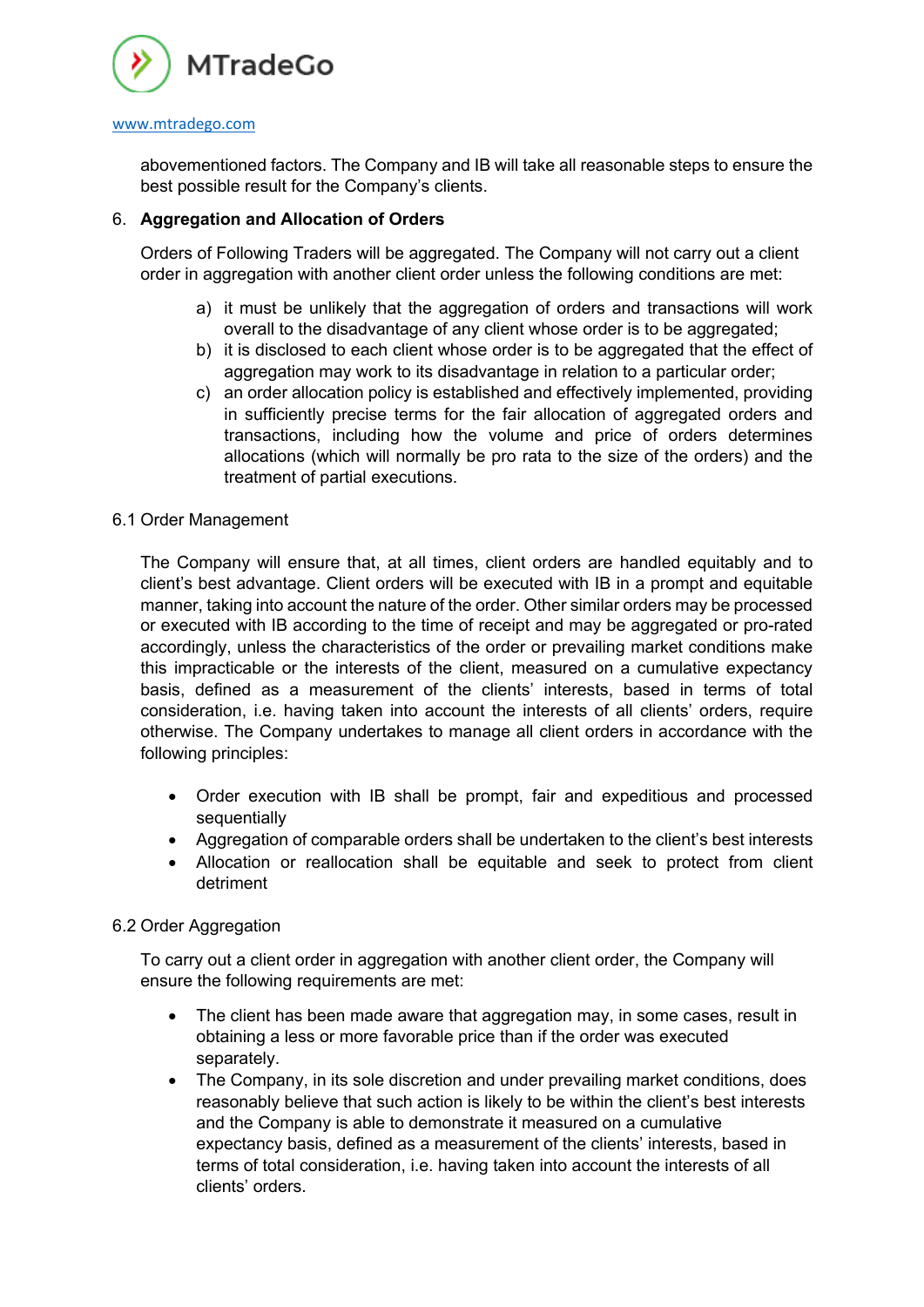

abovementioned factors. The Company and IB will take all reasonable steps to ensure the best possible result for the Company's clients.

## 6. **Aggregation and Allocation of Orders**

Orders of Following Traders will be aggregated. The Company will not carry out a client order in aggregation with another client order unless the following conditions are met:

- a) it must be unlikely that the aggregation of orders and transactions will work overall to the disadvantage of any client whose order is to be aggregated;
- b) it is disclosed to each client whose order is to be aggregated that the effect of aggregation may work to its disadvantage in relation to a particular order;
- c) an order allocation policy is established and effectively implemented, providing in sufficiently precise terms for the fair allocation of aggregated orders and transactions, including how the volume and price of orders determines allocations (which will normally be pro rata to the size of the orders) and the treatment of partial executions.

## 6.1 Order Management

The Company will ensure that, at all times, client orders are handled equitably and to client's best advantage. Client orders will be executed with IB in a prompt and equitable manner, taking into account the nature of the order. Other similar orders may be processed or executed with IB according to the time of receipt and may be aggregated or pro-rated accordingly, unless the characteristics of the order or prevailing market conditions make this impracticable or the interests of the client, measured on a cumulative expectancy basis, defined as a measurement of the clients' interests, based in terms of total consideration, i.e. having taken into account the interests of all clients' orders, require otherwise. The Company undertakes to manage all client orders in accordance with the following principles:

- Order execution with IB shall be prompt, fair and expeditious and processed sequentially
- Aggregation of comparable orders shall be undertaken to the client's best interests
- Allocation or reallocation shall be equitable and seek to protect from client detriment

## 6.2 Order Aggregation

To carry out a client order in aggregation with another client order, the Company will ensure the following requirements are met:

- The client has been made aware that aggregation may, in some cases, result in obtaining a less or more favorable price than if the order was executed separately.
- The Company, in its sole discretion and under prevailing market conditions, does reasonably believe that such action is likely to be within the client's best interests and the Company is able to demonstrate it measured on a cumulative expectancy basis, defined as a measurement of the clients' interests, based in terms of total consideration, i.e. having taken into account the interests of all clients' orders.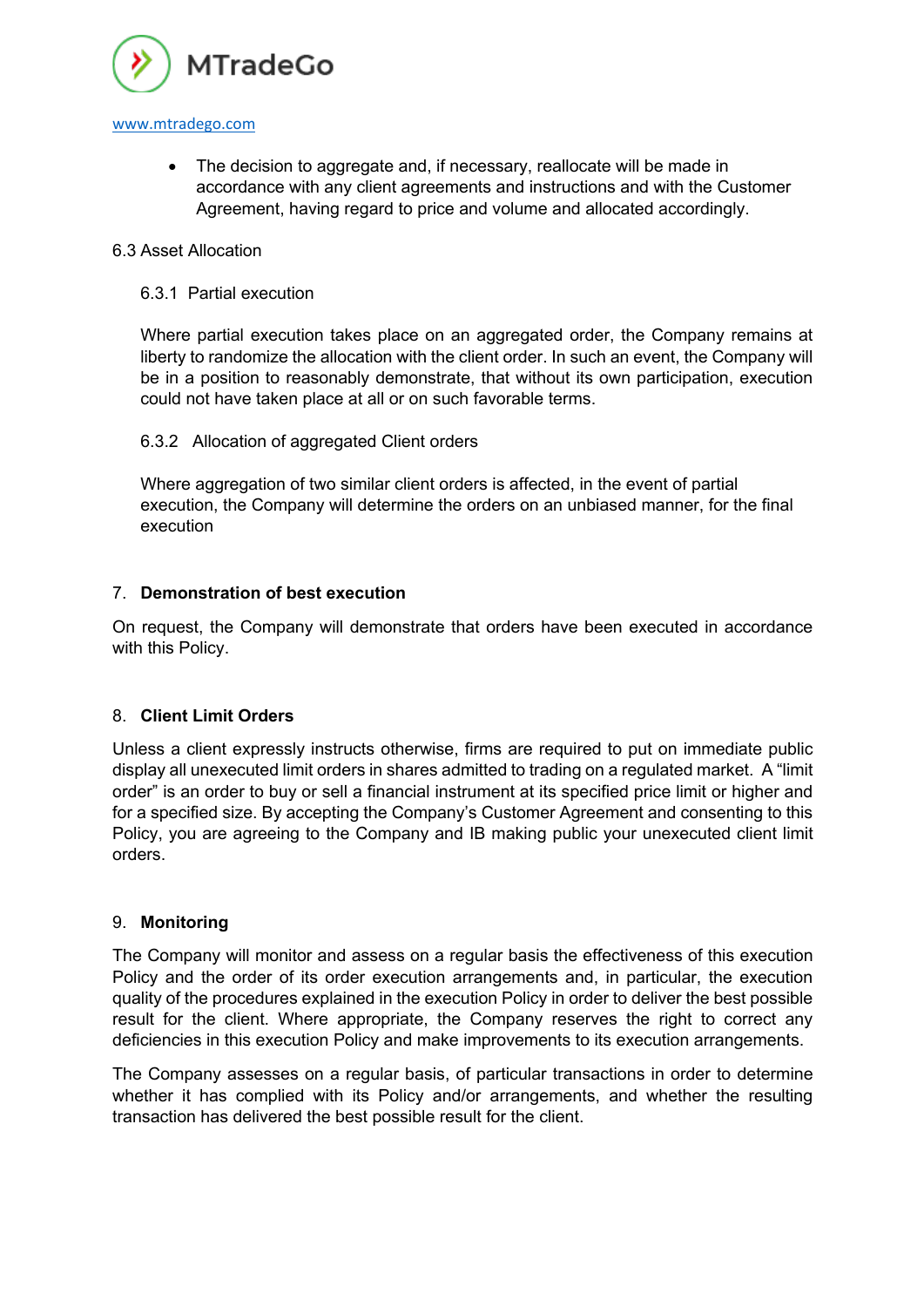

• The decision to aggregate and, if necessary, reallocate will be made in accordance with any client agreements and instructions and with the Customer Agreement, having regard to price and volume and allocated accordingly.

## 6.3 Asset Allocation

## 6.3.1 Partial execution

Where partial execution takes place on an aggregated order, the Company remains at liberty to randomize the allocation with the client order. In such an event, the Company will be in a position to reasonably demonstrate, that without its own participation, execution could not have taken place at all or on such favorable terms.

## 6.3.2 Allocation of aggregated Client orders

Where aggregation of two similar client orders is affected, in the event of partial execution, the Company will determine the orders on an unbiased manner, for the final execution

## 7. **Demonstration of best execution**

On request, the Company will demonstrate that orders have been executed in accordance with this Policy.

### 8. **Client Limit Orders**

Unless a client expressly instructs otherwise, firms are required to put on immediate public display all unexecuted limit orders in shares admitted to trading on a regulated market. A "limit order" is an order to buy or sell a financial instrument at its specified price limit or higher and for a specified size. By accepting the Company's Customer Agreement and consenting to this Policy, you are agreeing to the Company and IB making public your unexecuted client limit orders.

### 9. **Monitoring**

The Company will monitor and assess on a regular basis the effectiveness of this execution Policy and the order of its order execution arrangements and, in particular, the execution quality of the procedures explained in the execution Policy in order to deliver the best possible result for the client. Where appropriate, the Company reserves the right to correct any deficiencies in this execution Policy and make improvements to its execution arrangements.

The Company assesses on a regular basis, of particular transactions in order to determine whether it has complied with its Policy and/or arrangements, and whether the resulting transaction has delivered the best possible result for the client.